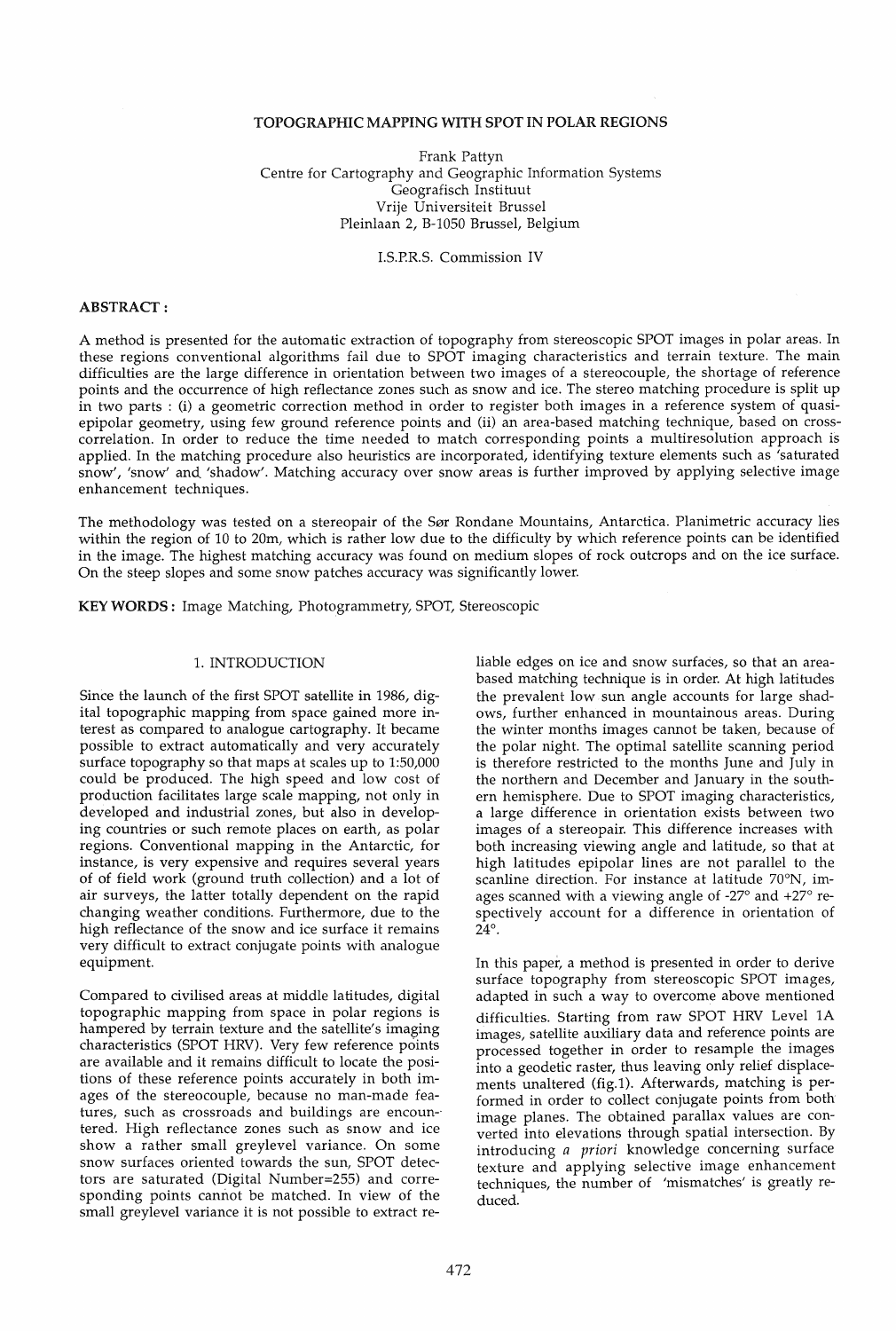### TOPOGRAPHIC MAPPING WITH SPOT IN POLAR REGIONS

Frank Pattyn Centre for Cartography and Geographic Information Systems Geografisch Instituut Vrije Universiteit Brussel Pleinlaan 2, B-I050 Brussel, Belgium

I.S.P.R.S. Commission IV

## ABSTRACT:

A method is presented for the automatic extraction of topography from stereoscopic SPOT images in polar areas. In these regions conventional algorithms fail due to SPOT imaging characteristics and terrain texture. The main difficulties are the large difference in orientation between two images of a stereocouple, the shortage of reference points and the occurrence of high reflectance zones such as snow and ice. The stereo matching procedure is split up in two parts: (i) a geometric correction method in order to register both images in a reference system of quasiepipolar geometry, using few ground reference points and (ii) an area-based matching technique, based on crosscorrelation. In order to reduce the time needed to match corresponding points a multiresolution approach is applied. In the matching procedure also heuristics are incorporated, identifying texture elements such as 'saturated snow', 'snow' and. 'shadow'. Matching accuracy over snow areas is further improved by applying selective image enhancement techniques.

The methodology was tested on a stereopair of the Sør Rondane Mountains, Antarctica. Planimetric accuracy lies within the region of 10 to 20m, which is rather low due to the difficulty by which reference points can be identified in the image. The highest matching accuracy was found on medium slopes of rock outcrops and on the ice surface. On the steep slopes and some snow patches accuracy was significantly lower.

KEY WORDS: Image Matching, Photogrammetry, SPOT, Stereoscopic

## 1. INTRODUCTION

Since the launch of the first SPOT satellite in 1986, digital topographic mapping from space gained more interest as compared to analogue cartography. It became possible to extract automatically and very accurately surface topography so that maps at scales up to 1:50,000 could be produced. The high speed and low cost of production facilitates large scale mapping, not only in developed and industrial zones, but also in developing countries or such remote places on earth, as polar regions. Conventional mapping in the Antarctic, for instance, is very expensive and requires several years of of field work (ground truth collection) and a lot of air surveys, the latter totally dependent on the rapid changing weather conditions. Furthermore, due to the high reflectance of the snow and ice surface it remains very difficult to extract conjugate points with analogue equipment.

Compared to civilised areas at middle latitudes, digital topographic mapping from space in polar regions is hampered by terrain texture and the satellite's imaging characteristics (SPOT HRV). Very few reference points are available and it remains difficult to locate the positions of these reference points accurately in both images of the stereocouple, because no man-made features, such as crossroads and buildings are encoun-' tered. High reflectance zones such as snow and ice show a rather small greylevel variance. On some snow surfaces oriented towards the sun, SPOT detectors are saturated (Digital Number=255) and corresponding points cannot be matched. In view of the small greylevel variance it is not possible to extract re-

liable edges on ice and snow surfaces, so that an areabased matching technique is in order. At high latitudes the prevalent low sun angle accounts for large shadows, further enhanced in mountainous areas. During the winter months images cannot be taken, because of the polar night. The optimal satellite scanning period is therefore restricted to the months June and July in the northern and December and January in the southern hemisphere. Due to SPOT imaging characteristics, a large difference in orientation exists between two images of a stereopair. This difference increases with both increasing viewing angle and latitude, so that at high latitudes epipolar lines are not parallel to the scanline direction. For instance at latitude 70°N, images scanned with a viewing angle of -27° and +27° respectively account for a difference in orientation of 24°.

In this paper, a method is presented in order to derive surface topography from stereoscopic SPOT images, adapted in such a way to overcome above mentioned difficulties. Starting from raw SPOT HRV Level lA images, satellite auxiliary data and reference points are processed together in order to resample the images into a geodetic raster, thus leaving only relief displacements unaltered (fig. 1). Afterwards, matching is performed in order to collect conjugate points from both image planes. The obtained parallax values are converted into elevations through spatial intersection. By introducing *a priori* knowledge concerning surface texture and applying selective image enhancement techniques, the number of 'mismatches' is greatly reduced.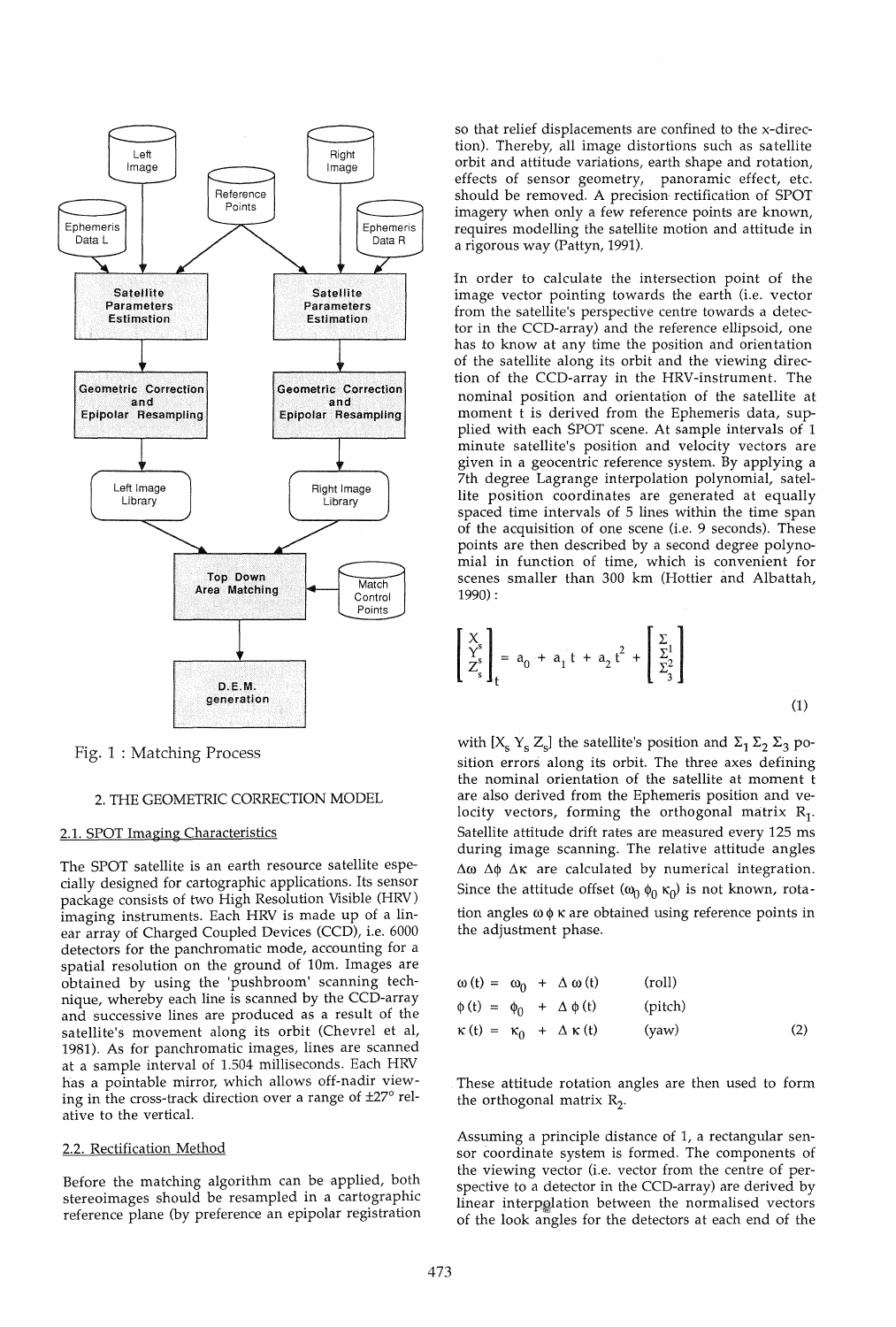

Fig. 1 : Matching Process

#### 2. THE GEOMETRIC CORRECTION MODEL

#### 2.1. SPOT Imaging Characteristics

The SPOT satellite is an earth resource satellite especially designed for cartographic applications. Its sensor package consists of two High Resolution Visible (HRV) imaging instruments. Each HRV is made up of a linear array of Charged Coupled Devices (CCD), i.e. 6000 detectors for the panchromatic mode, accounting for a spatial resolution on the ground of 10m. Images are obtained by using the 'pushbroom' scanning technique, whereby each line is scanned by the CCD-array and successive lines are produced as a result of the satellite's movement along its orbit (Chevrel et al, 1981). As for panchromatic images, lines are scanned at a sample interval of 1.504 milliseconds. Each HRV has a pointable mirror, which allows off-nadir viewing in the cross-track direction over a range of ±27° relative to the vertical.

#### 2.2. Rectification Method

Before the matching algorithm can be applied, both stereoimages should be resampled in a cartographic reference plane (by preference an epipolar registration so that relief displacements are confined to the x-direction). Thereby, all image distortions such as satellite orbit and attitude variations, earth shape and rotation, effects of sensor geometry, panoramic effect, etc. should be removed. A precision rectification of SPOT imagery when only a few reference points are known, requires modelling the satellite motion and attitude in a rigorous way (Pattyn, 1991).

In order to calculate the intersection point of the image vector pointing towards the earth (i.e. vector from the satellite's perspective centre towards a detector in the CCD-array) and the reference ellipsoid, one has to know at any time the position and orientation of the satellite along its orbit and the viewing direction of the CCD-array in the HRV -instrument. The nominal position and orientation of the satellite at moment  $\tilde{t}$  is derived from the Ephemeris data, supplied with each SPOT scene. At sample intervals of 1 minute satellite's position and velocity vectors are given in a geocentric reference system. By applying a 7th degree Lagrange interpolation polynomial, satellite position coordinates are generated at equally spaced time intervals of 5 lines within the time span of the acquisition of one scene (i.e. 9 seconds). These points are then described by a second degree polynomial in function of time, which is convenient for scenes smaller than 300 km (Hottier and Albattah, 1990):

$$
\begin{bmatrix} X \\ Y_s^s \\ Z_s^s \end{bmatrix}_{t} = a_0 + a_1 t + a_2 t^2 + \begin{bmatrix} \Sigma_1 \\ \Sigma_2^1 \\ \Sigma_3^2 \end{bmatrix}
$$
 (1)

with  $[X_s Y_s Z_s]$  the satellite's position and  $\Sigma_1 \Sigma_2 \Sigma_3$  position errors along its orbit. The three axes defining the nominal orientation of the satellite at moment t are also derived from the Ephemeris position and velocity vectors, forming the orthogonal matrix  $R_1$ . Satellite attitude drift rates are measured every 125 ms during image scanning. The relative attitude angles  $\Delta \omega$   $\Delta \phi$   $\Delta \kappa$  are calculated by numerical integration. Since the attitude offset ( $\omega_0 \phi_0 \kappa_0$ ) is not known, rotation angles  $\omega \phi \kappa$  are obtained using reference points in the adjustment phase.

$$
\omega(t) = \omega_0 + \Delta \omega(t) \quad \text{(roll)}
$$
  
\n
$$
\phi(t) = \phi_0 + \Delta \phi(t) \quad \text{(pitch)}
$$
  
\n
$$
\kappa(t) = \kappa_0 + \Delta \kappa(t) \quad \text{(yaw)}
$$
 (2)

These attitude rotation angles are then used to form the orthogonal matrix  $R_2$ .

Assuming a principle distance of 1, a rectangular sensor coordinate system is formed. The components of the viewing vector (i.e. vector from the centre of perspective to a detector in the CCD-array) are derived by linear interpolation between the normalised vectors of the look angles for the detectors at each end of the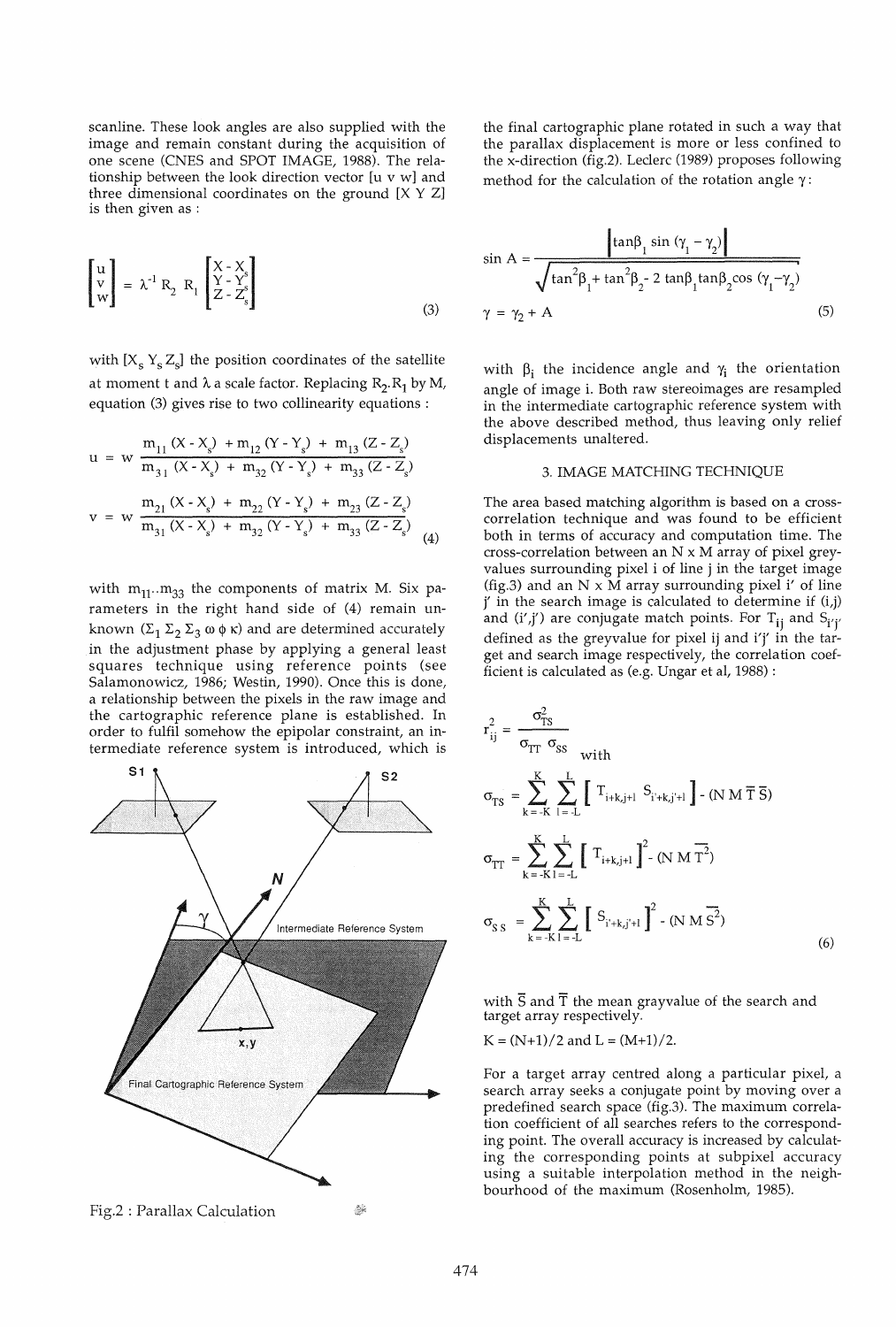scanline. These look angles are also supplied with the image and remain constant during the acquisition of one scene (CNES and SPOT IMAGE, 1988). The relationship between the look direction vector [u v w] and three dimensional coordinates on the ground [X Y Z] is then given as :

$$
\begin{bmatrix} u \\ v \\ w \end{bmatrix} = \lambda^{-1} R_2 R_1 \begin{bmatrix} X - X \\ Y - Y_s \\ Z - Z_s \end{bmatrix}
$$
 (3)

with  $[X_s Y_s Z_s]$  the position coordinates of the satellite at moment t and  $\lambda$  a scale factor. Replacing R<sub>2</sub>.R<sub>1</sub> by M, equation (3) gives rise to two collinearity equations:

u = w 
$$
\frac{m_{11} (X - X_s) + m_{12} (Y - Y_s) + m_{13} (Z - Z_s)}{m_{31} (X - X_s) + m_{32} (Y - Y_s) + m_{33} (Z - Z_s)}
$$
  
v = w  $\frac{m_{21} (X - X_s) + m_{22} (Y - Y_s) + m_{23} (Z - Z_s)}{m_{31} (X - X_s) + m_{32} (Y - Y_s) + m_{33} (Z - Z_s)}$  (4)

with  $m_{11}$ ..  $m_{33}$  the components of matrix M. Six parameters in the right hand side of (4) remain unknown  $(\Sigma_1 \Sigma_2 \Sigma_3 \omega \phi \kappa)$  and are determined accurately in the adjustment phase by applying a general least squares technique using reference points (see Salamonowicz, 1986; Westin, 1990). Once this is done, a relationship between the pixels in the raw image and the cartographic reference plane is established. In order to fulfil somehow the epipolar constraint, an intermediate reference system is introduced, which is



the final cartographic plane rotated in such a way that the parallax displacement is more or less confined to the x-direction (fig.2). Leclerc (1989) proposes following method for the calculation of the rotation angle  $\gamma$ :

$$
\sin A = \frac{\tan \beta_1 \sin (\gamma_1 - \gamma_2)}{\sqrt{\tan^2 \beta_1 + \tan^2 \beta_2 - 2 \tan \beta_1 \tan \beta_2 \cos (\gamma_1 - \gamma_2)}}
$$
\n
$$
\gamma = \gamma_2 + A \tag{5}
$$

with  $\beta_i$  the incidence angle and  $\gamma_i$  the orientation angle of image i. Both raw stereoimages are resampled in the intermediate cartographic reference system with the above described method, thus leaving only relief displacements unaltered.

## 3. IMAGE MATCHING TECHNIQUE

The area based matching algorithm is based on a crosscorrelation technique and was found to be efficient both in terms of accuracy and computation time. The cross-correlation between an N x M array of pixel greyvalues surrounding pixel i of line j in the target image (fig.3) and an  $N \times M$  array surrounding pixel i' of line j' in the search image is calculated to determine if (i,j) and  $(i',j')$  are conjugate match points. For  $T_{ii}$  and  $S_{i' i'}$ defined as the greyvalue for pixel ij and i'j' in the target and search image respectively, the correlation coefficient is calculated as (e.g. Ungar et aI, 1988) :

$$
r_{ij}^{2} = \frac{\sigma_{TS}^{2}}{\sigma_{TT} \sigma_{SS}} \text{ with}
$$
  
\n
$$
\sigma_{TS} = \sum_{k=-K}^{K} \sum_{l=-L}^{L} \left[ T_{i+k,j+l} S_{i'+k,j'+l} \right] - (N M \overline{T} \overline{S})
$$
  
\n
$$
\sigma_{TT} = \sum_{k=-K}^{K} \sum_{l=-L}^{L} \left[ T_{i+k,j+l} \right]^{2} - (N M \overline{T}^{2})
$$
  
\n
$$
\sigma_{SS} = \sum_{k=-K}^{K} \sum_{l=-L}^{L} \left[ S_{i'+k,j'+l} \right]^{2} - (N M \overline{S}^{2})
$$
  
\n(6)

with  $\overline{S}$  and  $\overline{T}$  the mean grayvalue of the search and target array respectively.

$$
K = (N+1)/2
$$
 and  $L = (M+1)/2$ .

For a target array centred along a particular pixel, a search array seeks a conjugate point by moving over a predefined search space (fig.3). The maximum correlation coefficient of all searches refers to the corresponding point. The overall accuracy is increased by calculating the corresponding points at subpixel accuracy using a suitable interpolation method in the neighbourhood of the maximum (Rosenholm, 1985).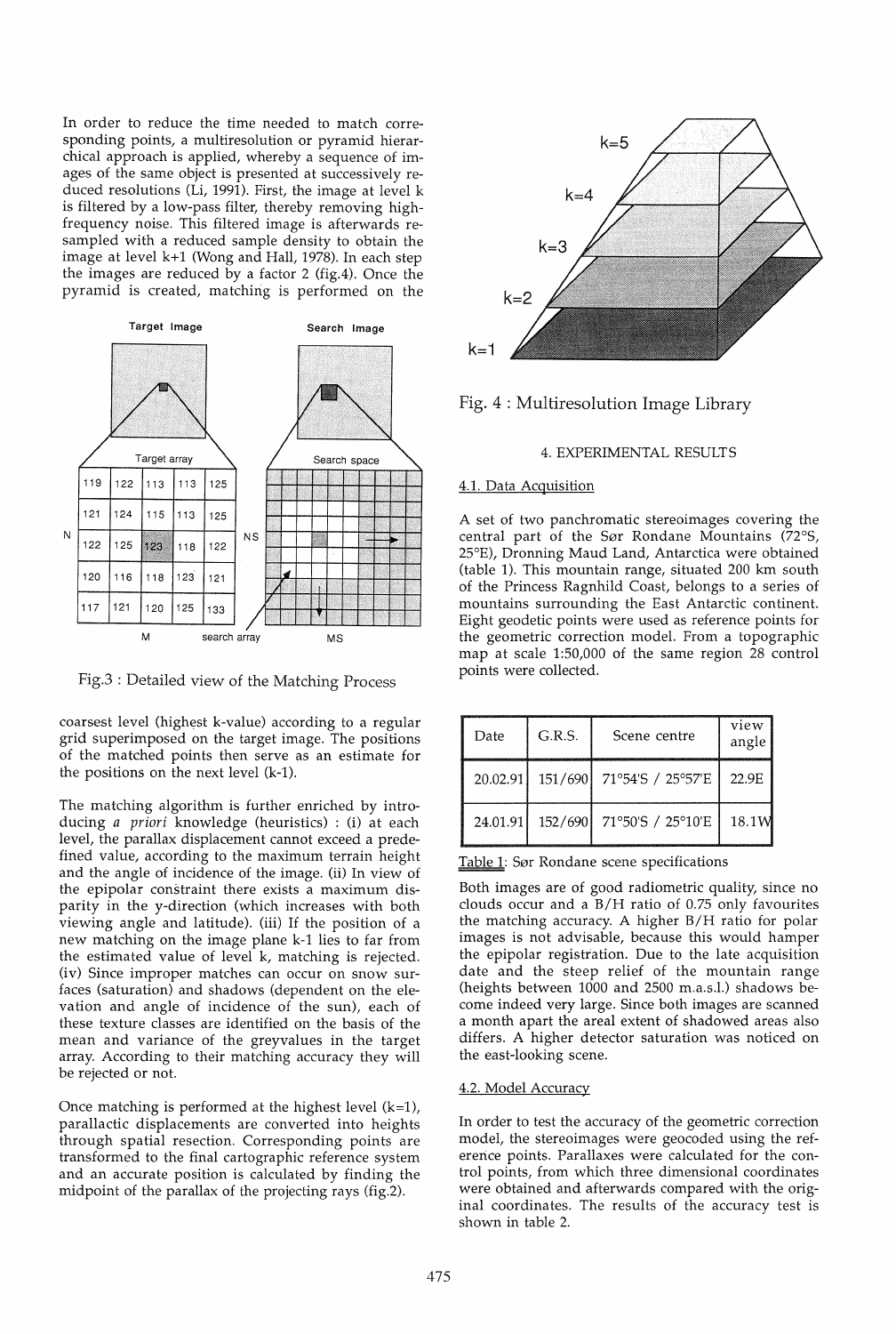In order to reduce the time needed to match corresponding points, a multiresolution or pyramid hierarchical approach is applied, whereby a sequence of images of the same object is presented at successively reduced resolutions (Li, 1991). First, the image at level k is filtered by a low-pass filter, thereby removing highfrequency noise. This filtered image is afterwards resampled with a reduced sample density to obtain the image at level k+1 (Wong and Hall, 1978). In each step the images are reduced by a factor  $2$  (fig.4). Once the pyramid is created, matching is performed on the



Fig.3 : Detailed view of the Matching Process

coarsest level (highest k-value) according to a regular grid superimposed on the target image. The positions of the matched points then serve as an estimate for the positions on the next level (k-1).

The matching algorithm is further enriched by introducing *a priori* knowledge (heuristics) : (i) at each level, the parallax displacement cannot exceed a predefined value, according to the maximum terrain height and the angle of incidence of the image. (ii) In view of the epipolar constraint there exists a maximum disparity in the y-direction (which increases with both viewing angle and latitude). (iii) If the position of a new matching on the image plane k-1 lies to far from the estimated value of level k, matching is rejected. (iv) Since improper matches can occur on snow surfaces (saturation) and shadows (dependent on the elevation and angle of incidence of the sun), each of these texture classes are identified on the basis of the mean and variance of the greyvalues in the target array. According to their matching accuracy they will be rejected or not.

Once matching is performed at the highest level  $(k=1)$ , parallactic displacements are converted into heights through spatial resection. Corresponding points are transformed to the final cartographic reference system and an accurate position is calculated by finding the midpoint of the parallax of the projecting rays (fig.2).





## 4. EXPERIMENTAL RESULT S

## 4.1. Data Acquisition

A set of two panchromatic stereoimages covering the central part of the Sør Rondane Mountains (72°S, 25°E), Dronning Maud Land, Antarctica were obtained (table 1). This mountain range, situated 200 km south of the Princess Ragnhild Coast, belongs to a series of mountains surrounding the East Antarctic continent. Eight geodetic points were used as reference points for the geometric correction model. From a topographic map at scale 1:50,000 of the same region 28 control points were collected.

| Date.    | G.R.S.  | Scene centre      | view<br>angle     |
|----------|---------|-------------------|-------------------|
| 20.02.91 | 151/690 | 71°54'S / 25°57'E | 22.9E             |
| 24.01.91 | 152/690 | 71°50'S / 25°10'E | 18.1 <sub>W</sub> |

Table 1: Sør Rondane scene specifications

Both images are of good radiometric quality, since no clouds occur and a B/H ratio of 0.75 only favourites the matching accuracy. A higher B/H ratio for polar images is not advisable, because this would hamper the epipolar registration. Due to the late acquisition date and the steep relief of the mountain range (heights between 1000 and 2500 m.a.s.l.) shadows become indeed very large. Since both images are scanned a month apart the areal extent of shadowed areas also differs. A higher detector saturation was noticed on the east-looking scene.

## 4.2. Model Accuracy

In order to test the accuracy of the geometric correction model, the stereoimages were geocoded using the reference points. Parallaxes were calculated for the control points, from which three dimensional coordinates were obtained and afterwards compared with the original coordinates. The results of the accuracy test is shown in table 2.